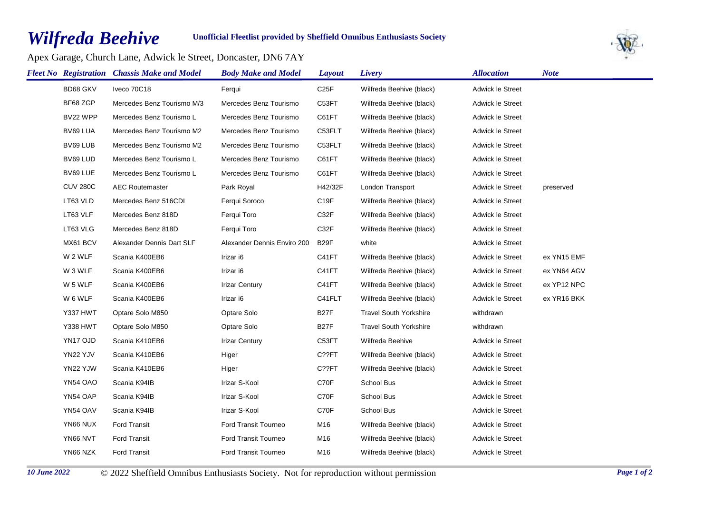## *Wilfreda Beehive*

## **Unofficial Fleetlist provided by Sheffield Omnibus Enthusiasts Society**

Apex Garage, Church Lane, Adwick le Street, Doncaster, DN6 7AY



|                 | <b>Fleet No</b> Registration Chassis Make and Model | <b>Body Make and Model</b>  | Layout            | Livery                        | <b>Allocation</b>       | <b>Note</b> |
|-----------------|-----------------------------------------------------|-----------------------------|-------------------|-------------------------------|-------------------------|-------------|
| BD68 GKV        | Iveco 70C18                                         | Ferqui                      | C <sub>25</sub> F | Wilfreda Beehive (black)      | Adwick le Street        |             |
| BF68 ZGP        | Mercedes Benz Tourismo M/3                          | Mercedes Benz Tourismo      | C53FT             | Wilfreda Beehive (black)      | Adwick le Street        |             |
| BV22 WPP        | Mercedes Benz Tourismo L                            | Mercedes Benz Tourismo      | C61FT             | Wilfreda Beehive (black)      | <b>Adwick le Street</b> |             |
| BV69 LUA        | Mercedes Benz Tourismo M2                           | Mercedes Benz Tourismo      | C53FLT            | Wilfreda Beehive (black)      | Adwick le Street        |             |
| BV69 LUB        | Mercedes Benz Tourismo M2                           | Mercedes Benz Tourismo      | C53FLT            | Wilfreda Beehive (black)      | <b>Adwick le Street</b> |             |
| BV69 LUD        | Mercedes Benz Tourismo L                            | Mercedes Benz Tourismo      | C61FT             | Wilfreda Beehive (black)      | <b>Adwick le Street</b> |             |
| BV69 LUE        | Mercedes Benz Tourismo L                            | Mercedes Benz Tourismo      | C61FT             | Wilfreda Beehive (black)      | <b>Adwick le Street</b> |             |
| <b>CUV 280C</b> | <b>AEC Routemaster</b>                              | Park Royal                  | H42/32F           | London Transport              | Adwick le Street        | preserved   |
| LT63 VLD        | Mercedes Benz 516CDI                                | Ferqui Soroco               | C19F              | Wilfreda Beehive (black)      | <b>Adwick le Street</b> |             |
| LT63 VLF        | Mercedes Benz 818D                                  | Fergui Toro                 | C32F              | Wilfreda Beehive (black)      | <b>Adwick le Street</b> |             |
| LT63 VLG        | Mercedes Benz 818D                                  | Ferqui Toro                 | C32F              | Wilfreda Beehive (black)      | Adwick le Street        |             |
| MX61 BCV        | Alexander Dennis Dart SLF                           | Alexander Dennis Enviro 200 | B <sub>29</sub> F | white                         | Adwick le Street        |             |
| W 2 WLF         | Scania K400EB6                                      | Irizar i6                   | C41FT             | Wilfreda Beehive (black)      | <b>Adwick le Street</b> | ex YN15 EMF |
| W 3 WLF         | Scania K400EB6                                      | Irizar i6                   | C41FT             | Wilfreda Beehive (black)      | <b>Adwick le Street</b> | ex YN64 AGV |
| W 5 WLF         | Scania K400EB6                                      | <b>Irizar Century</b>       | C41FT             | Wilfreda Beehive (black)      | Adwick le Street        | ex YP12 NPC |
| W 6 WLF         | Scania K400EB6                                      | Irizar i6                   | C41FLT            | Wilfreda Beehive (black)      | Adwick le Street        | ex YR16 BKK |
| Y337 HWT        | Optare Solo M850                                    | Optare Solo                 | B <sub>27</sub> F | <b>Travel South Yorkshire</b> | withdrawn               |             |
| <b>Y338 HWT</b> | Optare Solo M850                                    | Optare Solo                 | B <sub>27</sub> F | <b>Travel South Yorkshire</b> | withdrawn               |             |
| YN17 OJD        | Scania K410EB6                                      | <b>Irizar Century</b>       | C53FT             | Wilfreda Beehive              | Adwick le Street        |             |
| YN22 YJV        | Scania K410EB6                                      | Higer                       | C??FT             | Wilfreda Beehive (black)      | <b>Adwick le Street</b> |             |
| YN22 YJW        | Scania K410EB6                                      | Higer                       | C??FT             | Wilfreda Beehive (black)      | <b>Adwick le Street</b> |             |
| YN54 OAO        | Scania K94IB                                        | Irizar S-Kool               | C70F              | School Bus                    | Adwick le Street        |             |
| YN54 OAP        | Scania K94IB                                        | Irizar S-Kool               | C70F              | School Bus                    | Adwick le Street        |             |
| YN54 OAV        | Scania K94IB                                        | Irizar S-Kool               | C70F              | School Bus                    | <b>Adwick le Street</b> |             |
| YN66 NUX        | <b>Ford Transit</b>                                 | <b>Ford Transit Tourneo</b> | M16               | Wilfreda Beehive (black)      | Adwick le Street        |             |
| YN66 NVT        | <b>Ford Transit</b>                                 | Ford Transit Tourneo        | M16               | Wilfreda Beehive (black)      | <b>Adwick le Street</b> |             |
| YN66 NZK        | <b>Ford Transit</b>                                 | Ford Transit Tourneo        | M16               | Wilfreda Beehive (black)      | <b>Adwick le Street</b> |             |